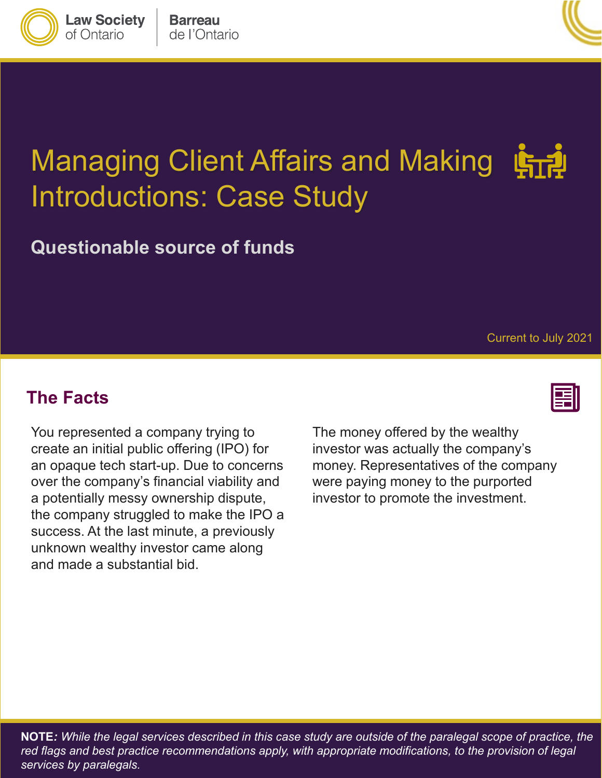**Barreau** de l'Ontario

**Law Society** 

of Ontario



# Managing Client Affairs and Making Introductions: Case Study

**Questionable source of funds**

Current to July 2021

#### **The Facts**

You represented a company trying to create an initial public offering (IPO) for an opaque tech start-up. Due to concerns over the company's financial viability and a potentially messy ownership dispute, the company struggled to make the IPO a success. At the last minute, a previously unknown wealthy investor came along and made a substantial bid.

The money offered by the wealthy investor was actually the company's money. Representatives of the company were paying money to the purported investor to promote the investment.



**NOTE***: While the legal services described in this case study are outside of the paralegal scope of practice, the*  red flags and best practice recommendations apply, with appropriate modifications, to the provision of legal *services by paralegals.*